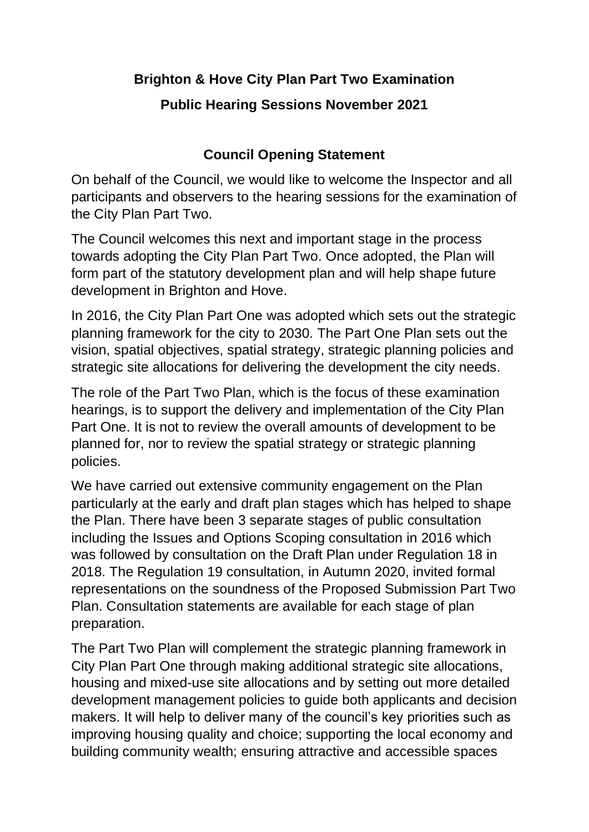## **Brighton & Hove City Plan Part Two Examination Public Hearing Sessions November 2021**

## **Council Opening Statement**

On behalf of the Council, we would like to welcome the Inspector and all participants and observers to the hearing sessions for the examination of the City Plan Part Two.

The Council welcomes this next and important stage in the process towards adopting the City Plan Part Two. Once adopted, the Plan will form part of the statutory development plan and will help shape future development in Brighton and Hove.

In 2016, the City Plan Part One was adopted which sets out the strategic planning framework for the city to 2030. The Part One Plan sets out the vision, spatial objectives, spatial strategy, strategic planning policies and strategic site allocations for delivering the development the city needs.

The role of the Part Two Plan, which is the focus of these examination hearings, is to support the delivery and implementation of the City Plan Part One. It is not to review the overall amounts of development to be planned for, nor to review the spatial strategy or strategic planning policies.

We have carried out extensive community engagement on the Plan particularly at the early and draft plan stages which has helped to shape the Plan. There have been 3 separate stages of public consultation including the Issues and Options Scoping consultation in 2016 which was followed by consultation on the Draft Plan under Regulation 18 in 2018. The Regulation 19 consultation, in Autumn 2020, invited formal representations on the soundness of the Proposed Submission Part Two Plan. Consultation statements are available for each stage of plan preparation.

The Part Two Plan will complement the strategic planning framework in City Plan Part One through making additional strategic site allocations, housing and mixed-use site allocations and by setting out more detailed development management policies to guide both applicants and decision makers. It will help to deliver many of the council's key priorities such as improving housing quality and choice; supporting the local economy and building community wealth; ensuring attractive and accessible spaces